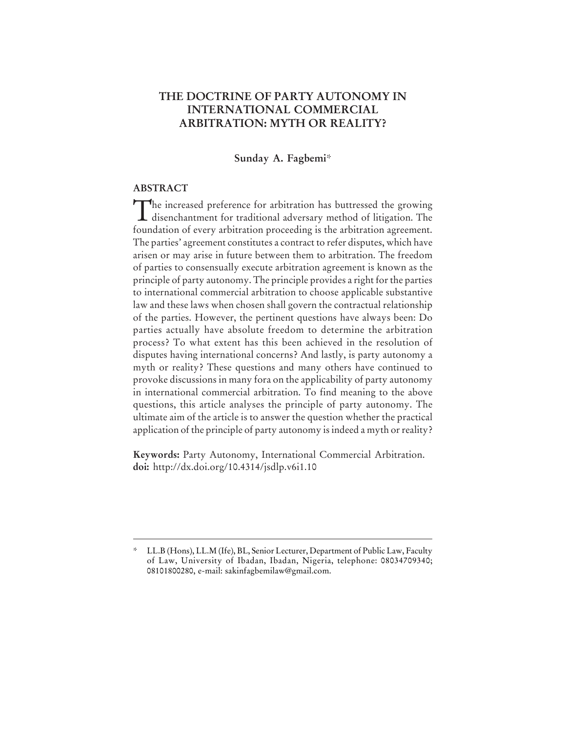# **THE DOCTRINE OF PARTY AUTONOMY IN INTERNATIONAL COMMERCIAL ARBITRATION: MYTH OR REALITY?**

### **Sunday A. Fagbemi**\*

### **ABSTRACT**

The increased preference for arbitration has buttressed the growing  $\blacktriangle$  disenchantment for traditional adversary method of litigation. The foundation of every arbitration proceeding is the arbitration agreement. The parties' agreement constitutes a contract to refer disputes, which have arisen or may arise in future between them to arbitration. The freedom of parties to consensually execute arbitration agreement is known as the principle of party autonomy. The principle provides a right for the parties to international commercial arbitration to choose applicable substantive law and these laws when chosen shall govern the contractual relationship of the parties. However, the pertinent questions have always been: Do parties actually have absolute freedom to determine the arbitration process? To what extent has this been achieved in the resolution of disputes having international concerns? And lastly, is party autonomy a myth or reality? These questions and many others have continued to provoke discussions in many fora on the applicability of party autonomy in international commercial arbitration. To find meaning to the above questions, this article analyses the principle of party autonomy. The ultimate aim of the article is to answer the question whether the practical application of the principle of party autonomy is indeed a myth or reality?

**Keywords:** Party Autonomy, International Commercial Arbitration. **doi:** http://dx.doi.org/10.4314/jsdlp.v6i1.10

<sup>\*</sup> LL.B (Hons), LL.M (Ife), BL, Senior Lecturer, Department of Public Law, Faculty of Law, University of Ibadan, Ibadan, Nigeria, telephone: 08034709340; 08101800280, e-mail: sakinfagbemilaw@gmail.com.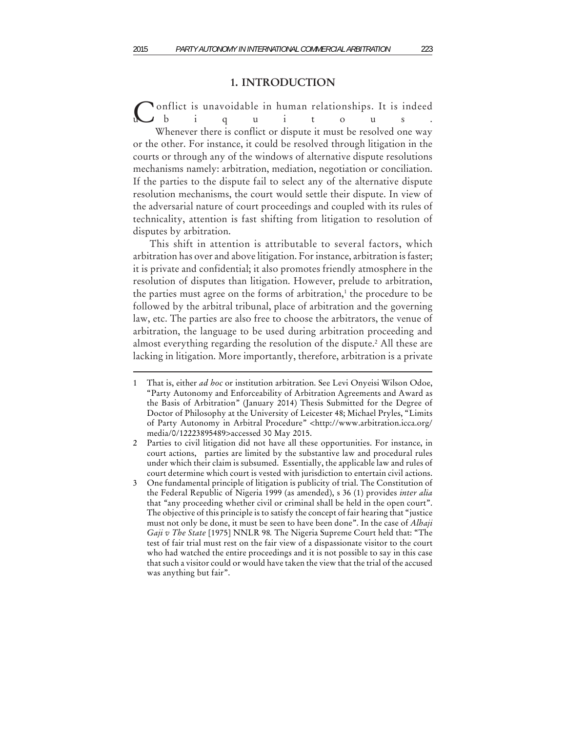### **1. INTRODUCTION**

Sonflict is unavoidable in human relationships. It is indeed<br>  $\begin{array}{ccc} \bullet & \bullet & \bullet & \bullet \\ \bullet & \bullet & \bullet & \bullet \end{array}$ ubiquitous. Whenever there is conflict or dispute it must be resolved one way or the other. For instance, it could be resolved through litigation in the courts or through any of the windows of alternative dispute resolutions mechanisms namely: arbitration, mediation, negotiation or conciliation. If the parties to the dispute fail to select any of the alternative dispute resolution mechanisms, the court would settle their dispute. In view of the adversarial nature of court proceedings and coupled with its rules of technicality, attention is fast shifting from litigation to resolution of disputes by arbitration.

This shift in attention is attributable to several factors, which arbitration has over and above litigation. For instance, arbitration is faster; it is private and confidential; it also promotes friendly atmosphere in the resolution of disputes than litigation. However, prelude to arbitration, the parties must agree on the forms of arbitration, $^{\rm 1}$  the procedure to be followed by the arbitral tribunal, place of arbitration and the governing law, etc. The parties are also free to choose the arbitrators, the venue of arbitration, the language to be used during arbitration proceeding and almost everything regarding the resolution of the dispute.<sup>2</sup> All these are lacking in litigation. More importantly, therefore, arbitration is a private

<sup>1</sup> That is, either *ad hoc* or institution arbitration. See Levi Onyeisi Wilson Odoe, "Party Autonomy and Enforceability of Arbitration Agreements and Award as the Basis of Arbitration" (January 2014) Thesis Submitted for the Degree of Doctor of Philosophy at the University of Leicester 48; Michael Pryles, "Limits of Party Autonomy in Arbitral Procedure" <http://www.arbitration.icca.org/ media/0/12223895489>accessed 30 May 2015.

<sup>2</sup> Parties to civil litigation did not have all these opportunities. For instance, in court actions, parties are limited by the substantive law and procedural rules under which their claim is subsumed. Essentially, the applicable law and rules of court determine which court is vested with jurisdiction to entertain civil actions.

<sup>3</sup> One fundamental principle of litigation is publicity of trial. The Constitution of the Federal Republic of Nigeria 1999 (as amended), s 36 (1) provides *inter alia* that *"*any proceeding whether civil or criminal shall be held in the open court". The objective of this principle is to satisfy the concept of fair hearing that "justice must not only be done, it must be seen to have been done". In the case of *Alhaji Gaji v The State* [1975] NNLR 98*.* The Nigeria Supreme Court held that: "The test of fair trial must rest on the fair view of a dispassionate visitor to the court who had watched the entire proceedings and it is not possible to say in this case that such a visitor could or would have taken the view that the trial of the accused was anything but fair".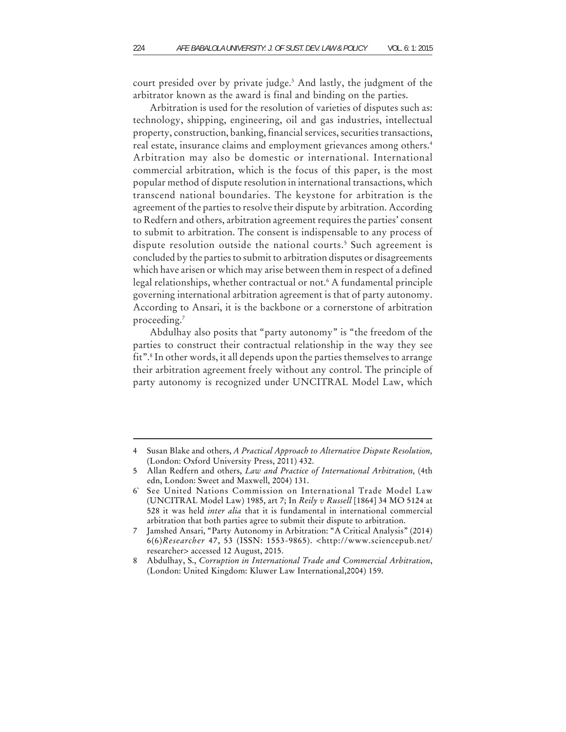court presided over by private judge.3 And lastly, the judgment of the arbitrator known as the award is final and binding on the parties.

Arbitration is used for the resolution of varieties of disputes such as: technology, shipping, engineering, oil and gas industries, intellectual property, construction, banking, financial services, securities transactions, real estate, insurance claims and employment grievances among others.<sup>4</sup> Arbitration may also be domestic or international. International commercial arbitration, which is the focus of this paper, is the most popular method of dispute resolution in international transactions, which transcend national boundaries. The keystone for arbitration is the agreement of the parties to resolve their dispute by arbitration. According to Redfern and others, arbitration agreement requires the parties' consent to submit to arbitration. The consent is indispensable to any process of dispute resolution outside the national courts.5 Such agreement is concluded by the parties to submit to arbitration disputes or disagreements which have arisen or which may arise between them in respect of a defined legal relationships, whether contractual or not.6 A fundamental principle governing international arbitration agreement is that of party autonomy. According to Ansari, it is the backbone or a cornerstone of arbitration proceeding.<sup>7</sup>

Abdulhay also posits that "party autonomy" is "the freedom of the parties to construct their contractual relationship in the way they see fit".8 In other words, it all depends upon the parties themselves to arrange their arbitration agreement freely without any control. The principle of party autonomy is recognized under UNCITRAL Model Law, which

<sup>4</sup> Susan Blake and others, *A Practical Approach to Alternative Dispute Resolution,* (London: Oxford University Press, 2011) 432.

<sup>5</sup> Allan Redfern and others, *Law and Practice of International Arbitration,* (4th edn, London: Sweet and Maxwell, 2004) 131.

<sup>6`</sup> See United Nations Commission on International Trade Model Law (UNCITRAL Model Law) 1985, art 7; In *Reily v Russell* [1864] 34 MO 5124 at 528 it was held *inter alia* that it is fundamental in international commercial arbitration that both parties agree to submit their dispute to arbitration.

<sup>7</sup> Jamshed Ansari, "Party Autonomy in Arbitration: "A Critical Analysis" (2014) 6(6)*Researcher* 47, 53 (ISSN: 1553-9865). <http://www.sciencepub.net/ researcher> accessed 12 August, 2015.

<sup>8</sup> Abdulhay, S., *Corruption in International Trade and Commercial Arbitration*, (London: United Kingdom: Kluwer Law International,2004) 159.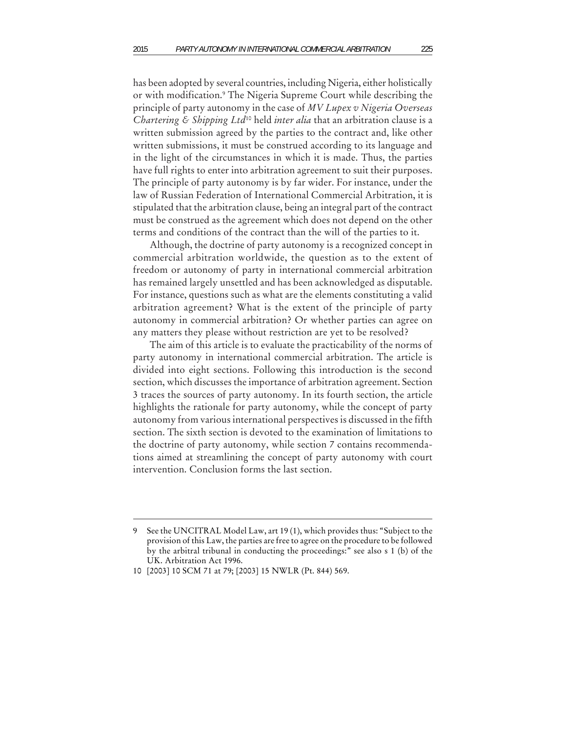has been adopted by several countries, including Nigeria, either holistically or with modification.9 The Nigeria Supreme Court while describing the principle of party autonomy in the case of *MV Lupex v Nigeria Overseas Chartering & Shipping Ltd*10 held *inter alia* that an arbitration clause is a written submission agreed by the parties to the contract and, like other written submissions, it must be construed according to its language and in the light of the circumstances in which it is made. Thus, the parties have full rights to enter into arbitration agreement to suit their purposes. The principle of party autonomy is by far wider. For instance, under the law of Russian Federation of International Commercial Arbitration, it is stipulated that the arbitration clause, being an integral part of the contract must be construed as the agreement which does not depend on the other terms and conditions of the contract than the will of the parties to it.

Although, the doctrine of party autonomy is a recognized concept in commercial arbitration worldwide, the question as to the extent of freedom or autonomy of party in international commercial arbitration has remained largely unsettled and has been acknowledged as disputable. For instance, questions such as what are the elements constituting a valid arbitration agreement? What is the extent of the principle of party autonomy in commercial arbitration? Or whether parties can agree on any matters they please without restriction are yet to be resolved?

The aim of this article is to evaluate the practicability of the norms of party autonomy in international commercial arbitration. The article is divided into eight sections. Following this introduction is the second section, which discusses the importance of arbitration agreement. Section 3 traces the sources of party autonomy. In its fourth section, the article highlights the rationale for party autonomy, while the concept of party autonomy from various international perspectives is discussed in the fifth section. The sixth section is devoted to the examination of limitations to the doctrine of party autonomy, while section 7 contains recommendations aimed at streamlining the concept of party autonomy with court intervention. Conclusion forms the last section.

<sup>9</sup> See the UNCITRAL Model Law, art 19 (1), which provides thus: "Subject to the provision of this Law, the parties are free to agree on the procedure to be followed by the arbitral tribunal in conducting the proceedings:" see also s 1 (b) of the UK. Arbitration Act 1996.

<sup>10 [2003] 10</sup> SCM 71 at 79; [2003] 15 NWLR (Pt. 844) 569.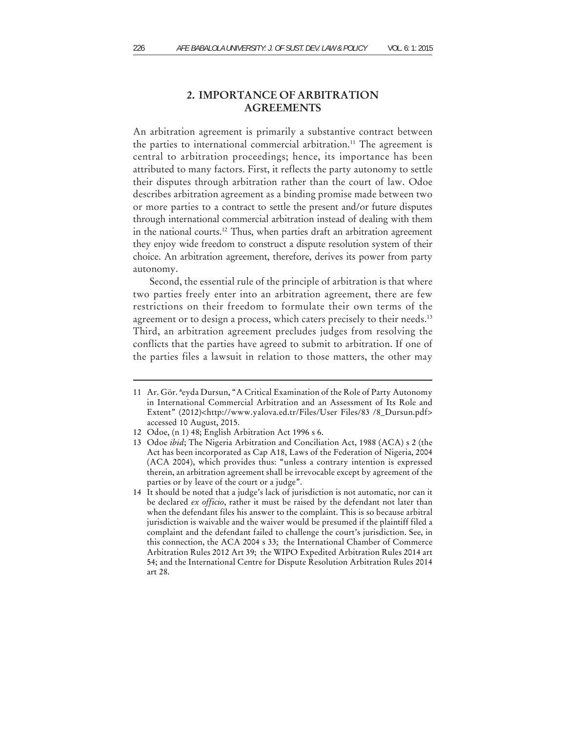## **2. IMPORTANCE OF ARBITRATION AGREEMENTS**

An arbitration agreement is primarily a substantive contract between the parties to international commercial arbitration.<sup>11</sup> The agreement is central to arbitration proceedings; hence, its importance has been attributed to many factors. First, it reflects the party autonomy to settle their disputes through arbitration rather than the court of law. Odoe describes arbitration agreement as a binding promise made between two or more parties to a contract to settle the present and/or future disputes through international commercial arbitration instead of dealing with them in the national courts.<sup>12</sup> Thus, when parties draft an arbitration agreement they enjoy wide freedom to construct a dispute resolution system of their choice. An arbitration agreement, therefore, derives its power from party autonomy.

Second, the essential rule of the principle of arbitration is that where two parties freely enter into an arbitration agreement, there are few restrictions on their freedom to formulate their own terms of the agreement or to design a process, which caters precisely to their needs.<sup>13</sup> Third, an arbitration agreement precludes judges from resolving the conflicts that the parties have agreed to submit to arbitration. If one of the parties files a lawsuit in relation to those matters, the other may

<sup>11</sup> Ar. Gör. ªeyda Dursun, "A Critical Examination of the Role of Party Autonomy in International Commercial Arbitration and an Assessment of Its Role and Extent" (2012)<http://www.yalova.ed.tr/Files/User Files/83 /8\_Dursun.pdf> accessed 10 August, 2015.

<sup>12</sup> Odoe, (n 1) 48; English Arbitration Act 1996 s 6.

<sup>13</sup> Odoe *ibid*; The Nigeria Arbitration and Conciliation Act, 1988 (ACA) s 2 (the Act has been incorporated as Cap A18, Laws of the Federation of Nigeria, 2004 (ACA 2004), which provides thus: "unless a contrary intention is expressed therein, an arbitration agreement shall be irrevocable except by agreement of the parties or by leave of the court or a judge".

<sup>14</sup> It should be noted that a judge's lack of jurisdiction is not automatic, nor can it be declared *ex officio*, rather it must be raised by the defendant not later than when the defendant files his answer to the complaint. This is so because arbitral jurisdiction is waivable and the waiver would be presumed if the plaintiff filed a complaint and the defendant failed to challenge the court's jurisdiction. See, in this connection, the ACA 2004 s 33; the International Chamber of Commerce Arbitration Rules 2012 Art 39; the WIPO Expedited Arbitration Rules 2014 art 54; and the International Centre for Dispute Resolution Arbitration Rules 2014 art 28.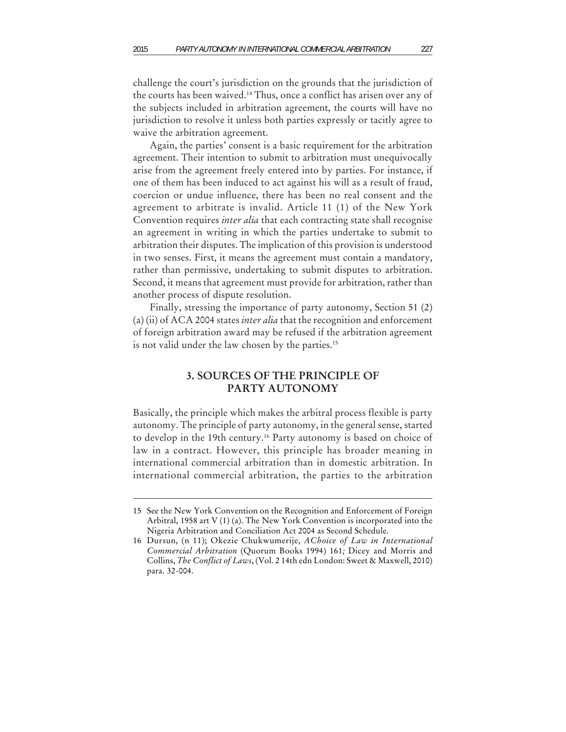challenge the court's jurisdiction on the grounds that the jurisdiction of the courts has been waived.14 Thus, once a conflict has arisen over any of the subjects included in arbitration agreement, the courts will have no jurisdiction to resolve it unless both parties expressly or tacitly agree to waive the arbitration agreement.

Again, the parties' consent is a basic requirement for the arbitration agreement. Their intention to submit to arbitration must unequivocally arise from the agreement freely entered into by parties. For instance, if one of them has been induced to act against his will as a result of fraud, coercion or undue influence, there has been no real consent and the agreement to arbitrate is invalid. Article 11 (1) of the New York Convention requires *inter alia* that each contracting state shall recognise an agreement in writing in which the parties undertake to submit to arbitration their disputes. The implication of this provision is understood in two senses. First, it means the agreement must contain a mandatory, rather than permissive, undertaking to submit disputes to arbitration. Second, it means that agreement must provide for arbitration, rather than another process of dispute resolution.

Finally, stressing the importance of party autonomy, Section 51 (2) (a) (ii) of ACA 2004 states *inter alia* that the recognition and enforcement of foreign arbitration award may be refused if the arbitration agreement is not valid under the law chosen by the parties.<sup>15</sup>

## **3. SOURCES OF THE PRINCIPLE OF PARTY AUTONOMY**

Basically, the principle which makes the arbitral process flexible is party autonomy. The principle of party autonomy, in the general sense, started to develop in the 19th century.16 Party autonomy is based on choice of law in a contract. However, this principle has broader meaning in international commercial arbitration than in domestic arbitration. In international commercial arbitration, the parties to the arbitration

<sup>15</sup> See the New York Convention on the Recognition and Enforcement of Foreign Arbitral, 1958 art V (1) (a). The New York Convention is incorporated into the Nigeria Arbitration and Conciliation Act 2004 as Second Schedule.

<sup>16</sup> Dursun, (n 11); Okezie Chukwumerije, *AChoice of Law in International Commercial Arbitration* (Quorum Books 1994) 161*;* Dicey and Morris and Collins, *The Conflict of Laws*, (Vol. 2 14th edn London: Sweet & Maxwell, 2010) para. 32-004.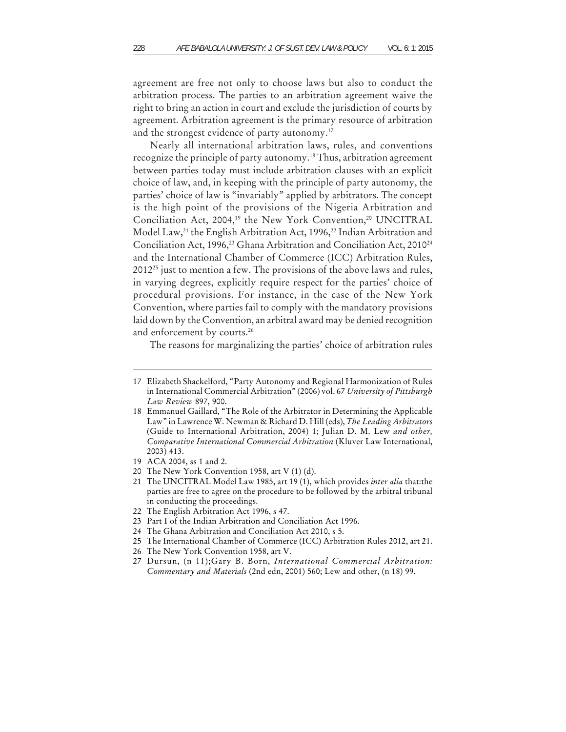agreement are free not only to choose laws but also to conduct the arbitration process. The parties to an arbitration agreement waive the right to bring an action in court and exclude the jurisdiction of courts by agreement. Arbitration agreement is the primary resource of arbitration and the strongest evidence of party autonomy.<sup>17</sup>

Nearly all international arbitration laws, rules, and conventions recognize the principle of party autonomy.18 Thus, arbitration agreement between parties today must include arbitration clauses with an explicit choice of law, and, in keeping with the principle of party autonomy, the parties' choice of law is "invariably" applied by arbitrators. The concept is the high point of the provisions of the Nigeria Arbitration and Conciliation Act, 2004,<sup>19</sup> the New York Convention,<sup>20</sup> UNCITRAL Model Law,<sup>21</sup> the English Arbitration Act, 1996,<sup>22</sup> Indian Arbitration and Conciliation Act, 1996,<sup>23</sup> Ghana Arbitration and Conciliation Act, 2010<sup>24</sup> and the International Chamber of Commerce (ICC) Arbitration Rules, 201225 just to mention a few. The provisions of the above laws and rules, in varying degrees, explicitly require respect for the parties' choice of procedural provisions. For instance, in the case of the New York Convention, where parties fail to comply with the mandatory provisions laid down by the Convention, an arbitral award may be denied recognition and enforcement by courts.26

The reasons for marginalizing the parties' choice of arbitration rules

- 22 The English Arbitration Act 1996, s 47.
- 23 Part I of the Indian Arbitration and Conciliation Act 1996.
- 24 The Ghana Arbitration and Conciliation Act 2010, s 5.
- 25 The International Chamber of Commerce (ICC) Arbitration Rules 2012, art 21.
- 26 The New York Convention 1958, art V.
- 27 Dursun, (n 11);Gary B. Born, *International Commercial Arbitration: Commentary and Materials* (2nd edn, 2001) 560; Lew and other, (n 18) 99.

<sup>17</sup> Elizabeth Shackelford, "Party Autonomy and Regional Harmonization of Rules in International Commercial Arbitration" (2006) vol. 67 *University of Pittsburgh Law Review* 897, 900.

<sup>18</sup> Emmanuel Gaillard, "The Role of the Arbitrator in Determining the Applicable Law" in Lawrence W. Newman & Richard D. Hill (eds), *The Leading Arbitrators* (Guide to International Arbitration, 2004) 1; Julian D. M. Lew *and other, Comparative International Commercial Arbitration* (Kluver Law International, 2003) 413.

<sup>19</sup> ACA 2004, ss 1 and 2.

<sup>20</sup> The New York Convention 1958, art V (1) (d).

<sup>21</sup> The UNCITRAL Model Law 1985, art 19 (1), which provides *inter alia* that:the parties are free to agree on the procedure to be followed by the arbitral tribunal in conducting the proceedings.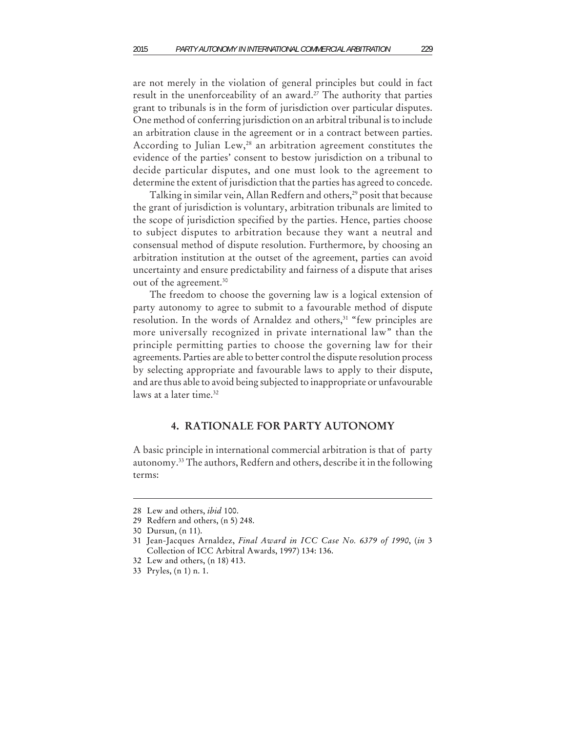are not merely in the violation of general principles but could in fact result in the unenforceability of an award.<sup>27</sup> The authority that parties grant to tribunals is in the form of jurisdiction over particular disputes. One method of conferring jurisdiction on an arbitral tribunal is to include an arbitration clause in the agreement or in a contract between parties. According to Julian Lew,<sup>28</sup> an arbitration agreement constitutes the evidence of the parties' consent to bestow jurisdiction on a tribunal to decide particular disputes, and one must look to the agreement to determine the extent of jurisdiction that the parties has agreed to concede.

Talking in similar vein, Allan Redfern and others,<sup>29</sup> posit that because the grant of jurisdiction is voluntary, arbitration tribunals are limited to the scope of jurisdiction specified by the parties. Hence, parties choose to subject disputes to arbitration because they want a neutral and consensual method of dispute resolution. Furthermore, by choosing an arbitration institution at the outset of the agreement, parties can avoid uncertainty and ensure predictability and fairness of a dispute that arises out of the agreement.30

The freedom to choose the governing law is a logical extension of party autonomy to agree to submit to a favourable method of dispute resolution. In the words of Arnaldez and others,<sup>31</sup> "few principles are more universally recognized in private international law" than the principle permitting parties to choose the governing law for their agreements. Parties are able to better control the dispute resolution process by selecting appropriate and favourable laws to apply to their dispute, and are thus able to avoid being subjected to inappropriate or unfavourable laws at a later time.<sup>32</sup>

## **4. RATIONALE FOR PARTY AUTONOMY**

A basic principle in international commercial arbitration is that of party autonomy.33 The authors, Redfern and others, describe it in the following terms:

<sup>28</sup> Lew and others, *ibid* 100.

<sup>29</sup> Redfern and others, (n 5) 248.

<sup>30</sup> Dursun, (n 11).

<sup>31</sup> Jean-Jacques Arnaldez, *Final Award in ICC Case No. 6379 of 1990*, (*in* 3 Collection of ICC Arbitral Awards, 1997) 134: 136.

<sup>32</sup> Lew and others, (n 18) 413.

<sup>33</sup> Pryles, (n 1) n. 1.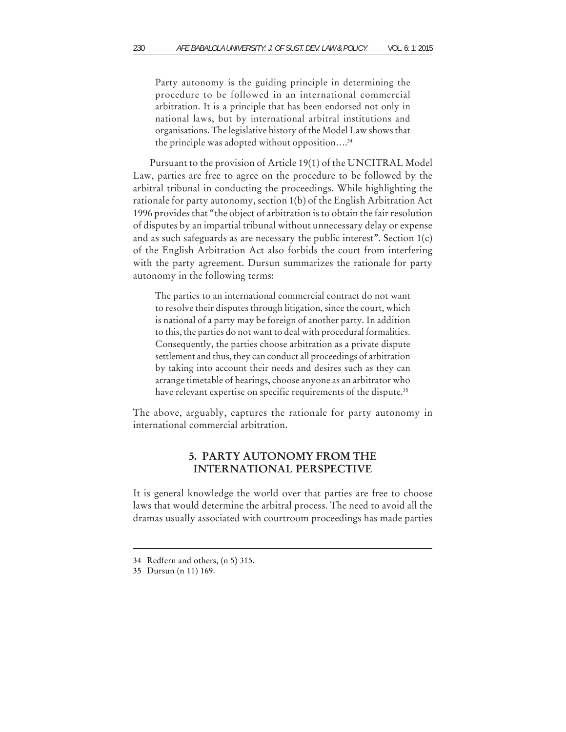Party autonomy is the guiding principle in determining the procedure to be followed in an international commercial arbitration. It is a principle that has been endorsed not only in national laws, but by international arbitral institutions and organisations. The legislative history of the Model Law shows that the principle was adopted without opposition….34

Pursuant to the provision of Article 19(1) of the UNCITRAL Model Law, parties are free to agree on the procedure to be followed by the arbitral tribunal in conducting the proceedings. While highlighting the rationale for party autonomy, section 1(b) of the English Arbitration Act 1996 provides that "the object of arbitration is to obtain the fair resolution of disputes by an impartial tribunal without unnecessary delay or expense and as such safeguards as are necessary the public interest". Section 1(c) of the English Arbitration Act also forbids the court from interfering with the party agreement. Dursun summarizes the rationale for party autonomy in the following terms:

The parties to an international commercial contract do not want to resolve their disputes through litigation, since the court, which is national of a party may be foreign of another party. In addition to this, the parties do not want to deal with procedural formalities. Consequently, the parties choose arbitration as a private dispute settlement and thus, they can conduct all proceedings of arbitration by taking into account their needs and desires such as they can arrange timetable of hearings, choose anyone as an arbitrator who have relevant expertise on specific requirements of the dispute.<sup>35</sup>

The above, arguably, captures the rationale for party autonomy in international commercial arbitration.

## **5. PARTY AUTONOMY FROM THE INTERNATIONAL PERSPECTIVE**

It is general knowledge the world over that parties are free to choose laws that would determine the arbitral process. The need to avoid all the dramas usually associated with courtroom proceedings has made parties

<sup>34</sup> Redfern and others, (n 5) 315.

<sup>35</sup> Dursun (n 11) 169.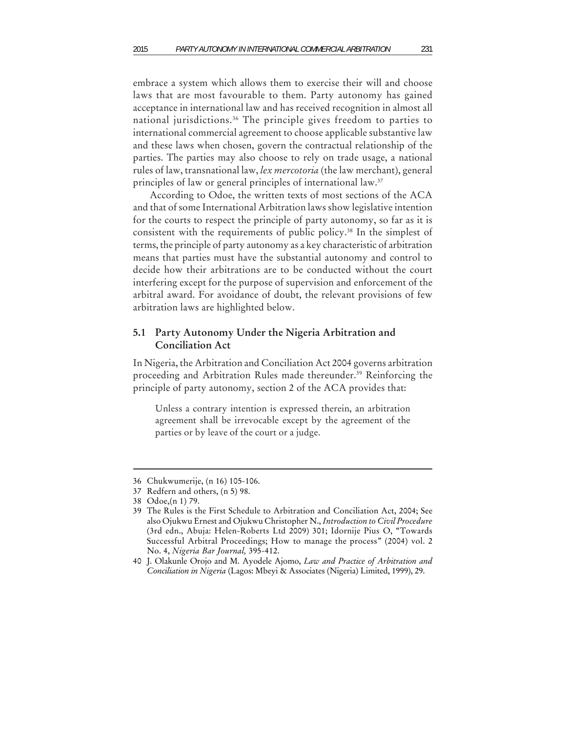embrace a system which allows them to exercise their will and choose laws that are most favourable to them. Party autonomy has gained acceptance in international law and has received recognition in almost all national jurisdictions.36 The principle gives freedom to parties to international commercial agreement to choose applicable substantive law and these laws when chosen, govern the contractual relationship of the parties. The parties may also choose to rely on trade usage, a national rules of law, transnational law, *lex mercotoria* (the law merchant), general principles of law or general principles of international law.37

According to Odoe, the written texts of most sections of the ACA and that of some International Arbitration laws show legislative intention for the courts to respect the principle of party autonomy, so far as it is consistent with the requirements of public policy.<sup>38</sup> In the simplest of terms, the principle of party autonomy as a key characteristic of arbitration means that parties must have the substantial autonomy and control to decide how their arbitrations are to be conducted without the court interfering except for the purpose of supervision and enforcement of the arbitral award. For avoidance of doubt, the relevant provisions of few arbitration laws are highlighted below.

## **5.1 Party Autonomy Under the Nigeria Arbitration and Conciliation Act**

In Nigeria, the Arbitration and Conciliation Act 2004 governs arbitration proceeding and Arbitration Rules made thereunder.<sup>39</sup> Reinforcing the principle of party autonomy, section 2 of the ACA provides that:

Unless a contrary intention is expressed therein, an arbitration agreement shall be irrevocable except by the agreement of the parties or by leave of the court or a judge.

<sup>36</sup> Chukwumerije, (n 16) 105-106.

<sup>37</sup> Redfern and others, (n 5) 98.

<sup>38</sup> Odoe,(n 1) 79.

<sup>39</sup> The Rules is the First Schedule to Arbitration and Conciliation Act, 2004; See also Ojukwu Ernest and Ojukwu Christopher N., *Introduction to Civil Procedure* (3rd edn., Abuja: Helen-Roberts Ltd 2009) 301; Idornije Pius O, "Towards Successful Arbitral Proceedings; How to manage the process" (2004) vol. 2 No. 4, *Nigeria Bar Journal,* 395-412.

<sup>40</sup> J. Olakunle Orojo and M. Ayodele Ajomo, *Law and Practice of Arbitration and Conciliation in Nigeria* (Lagos: Mbeyi & Associates (Nigeria) Limited, 1999), 29.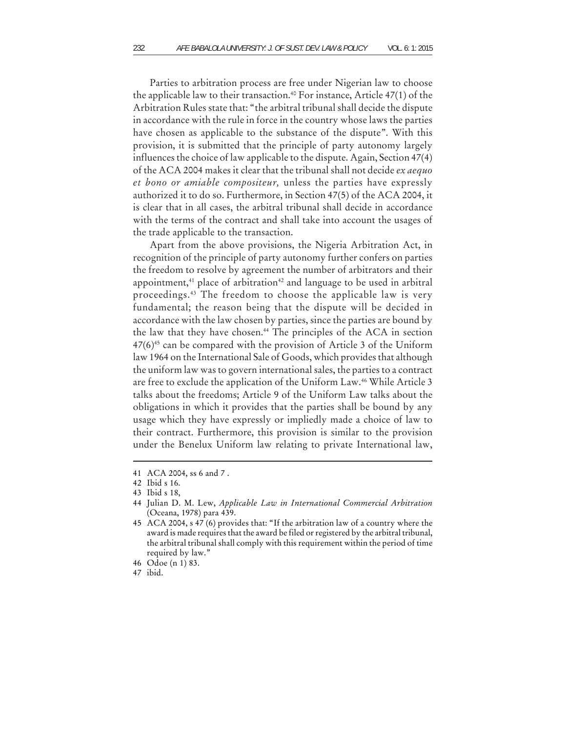Parties to arbitration process are free under Nigerian law to choose the applicable law to their transaction.<sup>40</sup> For instance, Article 47(1) of the Arbitration Rules state that: "the arbitral tribunal shall decide the dispute in accordance with the rule in force in the country whose laws the parties have chosen as applicable to the substance of the dispute". With this provision, it is submitted that the principle of party autonomy largely influences the choice of law applicable to the dispute. Again, Section 47(4) of the ACA 2004 makes it clear that the tribunal shall not decide *ex aequo et bono or amiable compositeur,* unless the parties have expressly authorized it to do so. Furthermore, in Section 47(5) of the ACA 2004, it is clear that in all cases, the arbitral tribunal shall decide in accordance with the terms of the contract and shall take into account the usages of the trade applicable to the transaction.

Apart from the above provisions, the Nigeria Arbitration Act, in recognition of the principle of party autonomy further confers on parties the freedom to resolve by agreement the number of arbitrators and their appointment, $41$  place of arbitration $42$  and language to be used in arbitral proceedings.43 The freedom to choose the applicable law is very fundamental; the reason being that the dispute will be decided in accordance with the law chosen by parties, since the parties are bound by the law that they have chosen.<sup>44</sup> The principles of the ACA in section  $47(6)^{45}$  can be compared with the provision of Article 3 of the Uniform law 1964 on the International Sale of Goods, which provides that although the uniform law was to govern international sales, the parties to a contract are free to exclude the application of the Uniform Law.<sup>46</sup> While Article 3 talks about the freedoms; Article 9 of the Uniform Law talks about the obligations in which it provides that the parties shall be bound by any usage which they have expressly or impliedly made a choice of law to their contract. Furthermore, this provision is similar to the provision under the Benelux Uniform law relating to private International law,

<sup>41</sup> ACA 2004, ss 6 and 7 .

<sup>42</sup> Ibid s 16.

<sup>43</sup> Ibid s 18,

<sup>44</sup> Julian D. M. Lew, *Applicable Law in International Commercial Arbitration* (Oceana, 1978) para 439.

<sup>45</sup> ACA 2004, s 47 (6) provides that: "If the arbitration law of a country where the award is made requires that the award be filed or registered by the arbitral tribunal, the arbitral tribunal shall comply with this requirement within the period of time required by law."

<sup>46</sup> Odoe (n 1) 83.

<sup>47</sup> ibid.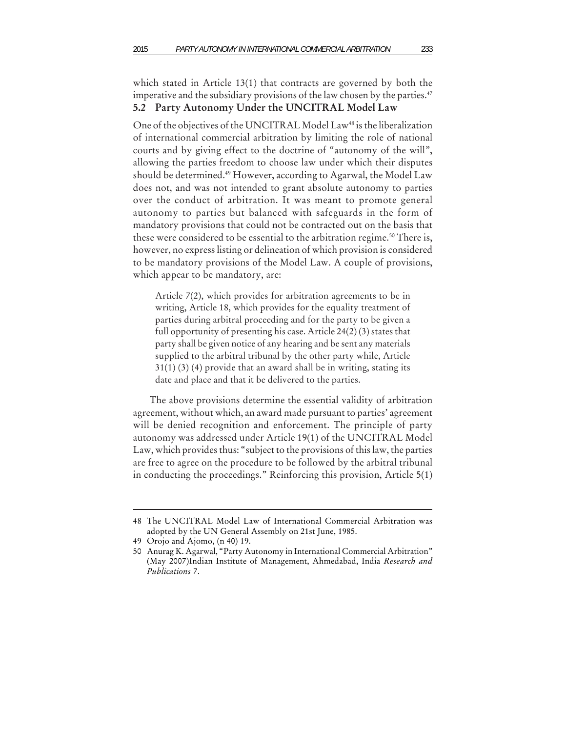which stated in Article 13(1) that contracts are governed by both the imperative and the subsidiary provisions of the law chosen by the parties.<sup>47</sup> **5.2 Party Autonomy Under the UNCITRAL Model Law**

One of the objectives of the UNCITRAL Model Law<sup>48</sup> is the liberalization of international commercial arbitration by limiting the role of national courts and by giving effect to the doctrine of "autonomy of the will", allowing the parties freedom to choose law under which their disputes should be determined.<sup>49</sup> However, according to Agarwal, the Model Law does not, and was not intended to grant absolute autonomy to parties over the conduct of arbitration. It was meant to promote general autonomy to parties but balanced with safeguards in the form of mandatory provisions that could not be contracted out on the basis that these were considered to be essential to the arbitration regime.<sup>50</sup> There is, however, no express listing or delineation of which provision is considered to be mandatory provisions of the Model Law. A couple of provisions, which appear to be mandatory, are:

Article 7(2), which provides for arbitration agreements to be in writing, Article 18, which provides for the equality treatment of parties during arbitral proceeding and for the party to be given a full opportunity of presenting his case. Article 24(2) (3) states that party shall be given notice of any hearing and be sent any materials supplied to the arbitral tribunal by the other party while, Article 31(1) (3) (4) provide that an award shall be in writing, stating its date and place and that it be delivered to the parties.

The above provisions determine the essential validity of arbitration agreement, without which, an award made pursuant to parties' agreement will be denied recognition and enforcement. The principle of party autonomy was addressed under Article 19(1) of the UNCITRAL Model Law, which provides thus: "subject to the provisions of this law, the parties are free to agree on the procedure to be followed by the arbitral tribunal in conducting the proceedings." Reinforcing this provision, Article 5(1)

<sup>48</sup> The UNCITRAL Model Law of International Commercial Arbitration was adopted by the UN General Assembly on 21st June, 1985.

<sup>49</sup> Orojo and Ajomo, (n 40) 19.

<sup>50</sup> Anurag K. Agarwal, "Party Autonomy in International Commercial Arbitration" (May 2007)Indian Institute of Management, Ahmedabad, India *Research and Publications* 7.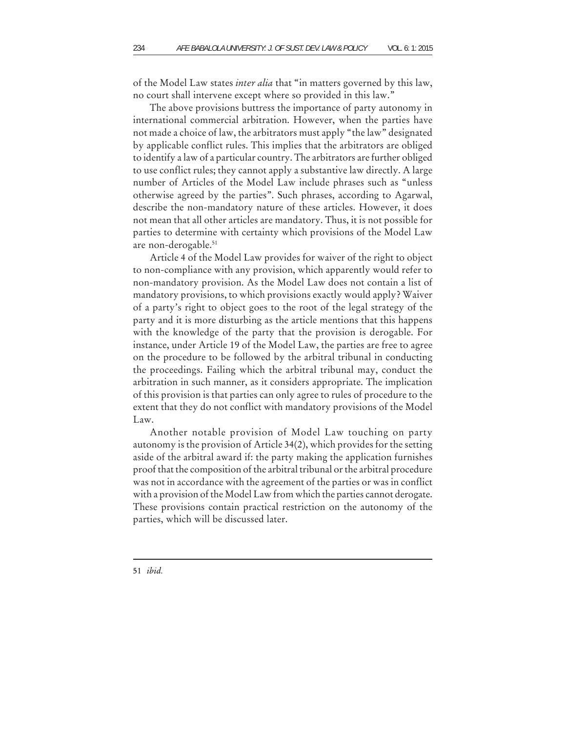of the Model Law states *inter alia* that "in matters governed by this law, no court shall intervene except where so provided in this law."

The above provisions buttress the importance of party autonomy in international commercial arbitration. However, when the parties have not made a choice of law, the arbitrators must apply "the law" designated by applicable conflict rules. This implies that the arbitrators are obliged to identify a law of a particular country. The arbitrators are further obliged to use conflict rules; they cannot apply a substantive law directly. A large number of Articles of the Model Law include phrases such as "unless otherwise agreed by the parties". Such phrases, according to Agarwal, describe the non-mandatory nature of these articles. However, it does not mean that all other articles are mandatory. Thus, it is not possible for parties to determine with certainty which provisions of the Model Law are non-derogable.51

Article 4 of the Model Law provides for waiver of the right to object to non-compliance with any provision, which apparently would refer to non-mandatory provision. As the Model Law does not contain a list of mandatory provisions, to which provisions exactly would apply? Waiver of a party's right to object goes to the root of the legal strategy of the party and it is more disturbing as the article mentions that this happens with the knowledge of the party that the provision is derogable. For instance, under Article 19 of the Model Law, the parties are free to agree on the procedure to be followed by the arbitral tribunal in conducting the proceedings. Failing which the arbitral tribunal may, conduct the arbitration in such manner, as it considers appropriate. The implication of this provision is that parties can only agree to rules of procedure to the extent that they do not conflict with mandatory provisions of the Model Law.

Another notable provision of Model Law touching on party autonomy is the provision of Article 34(2), which provides for the setting aside of the arbitral award if: the party making the application furnishes proof that the composition of the arbitral tribunal or the arbitral procedure was not in accordance with the agreement of the parties or was in conflict with a provision of the Model Law from which the parties cannot derogate. These provisions contain practical restriction on the autonomy of the parties, which will be discussed later.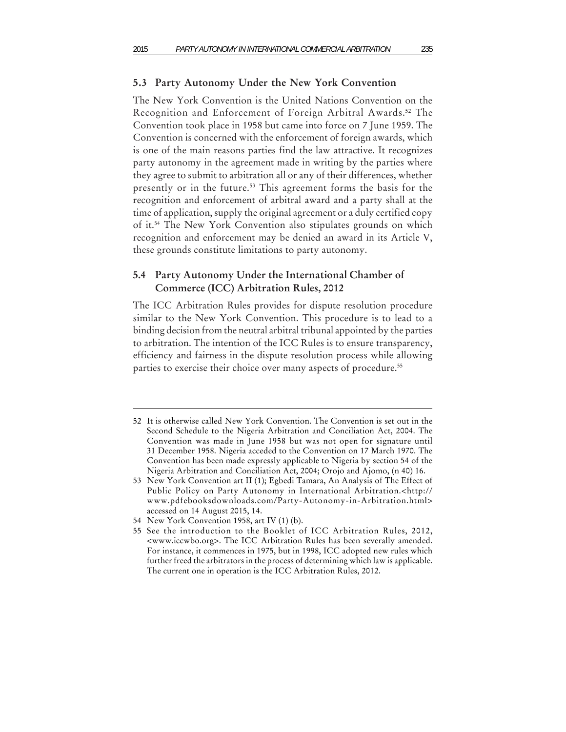#### **5.3 Party Autonomy Under the New York Convention**

The New York Convention is the United Nations Convention on the Recognition and Enforcement of Foreign Arbitral Awards.<sup>52</sup> The Convention took place in 1958 but came into force on 7 June 1959. The Convention is concerned with the enforcement of foreign awards, which is one of the main reasons parties find the law attractive. It recognizes party autonomy in the agreement made in writing by the parties where they agree to submit to arbitration all or any of their differences, whether presently or in the future.<sup>53</sup> This agreement forms the basis for the recognition and enforcement of arbitral award and a party shall at the time of application, supply the original agreement or a duly certified copy of it.54 The New York Convention also stipulates grounds on which recognition and enforcement may be denied an award in its Article V, these grounds constitute limitations to party autonomy.

## **5.4 Party Autonomy Under the International Chamber of Commerce (ICC) Arbitration Rules, 2012**

The ICC Arbitration Rules provides for dispute resolution procedure similar to the New York Convention. This procedure is to lead to a binding decision from the neutral arbitral tribunal appointed by the parties to arbitration. The intention of the ICC Rules is to ensure transparency, efficiency and fairness in the dispute resolution process while allowing parties to exercise their choice over many aspects of procedure.<sup>55</sup>

<sup>52</sup> It is otherwise called New York Convention. The Convention is set out in the Second Schedule to the Nigeria Arbitration and Conciliation Act, 2004. The Convention was made in June 1958 but was not open for signature until 31 December 1958. Nigeria acceded to the Convention on 17 March 1970. The Convention has been made expressly applicable to Nigeria by section 54 of the Nigeria Arbitration and Conciliation Act, 2004; Orojo and Ajomo, (n 40) 16.

<sup>53</sup> New York Convention art II (1); Egbedi Tamara, An Analysis of The Effect of Public Policy on Party Autonomy in International Arbitration.<http:// www.pdfebooksdownloads.com/Party-Autonomy-in-Arbitration.html> accessed on 14 August 2015, 14.

<sup>54</sup> New York Convention 1958, art IV (1) (b).

<sup>55</sup> See the introduction to the Booklet of ICC Arbitration Rules, 2012, <www.iccwbo.org>. The ICC Arbitration Rules has been severally amended. For instance, it commences in 1975, but in 1998, ICC adopted new rules which further freed the arbitrators in the process of determining which law is applicable. The current one in operation is the ICC Arbitration Rules, 2012.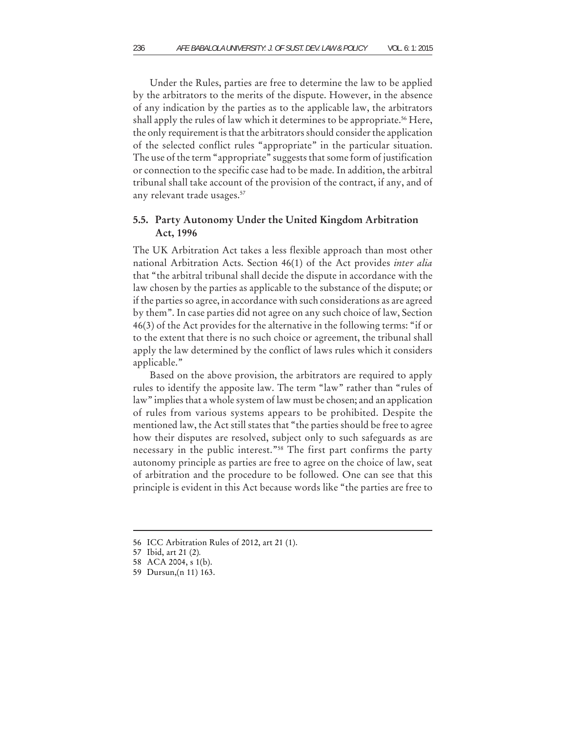Under the Rules, parties are free to determine the law to be applied by the arbitrators to the merits of the dispute. However, in the absence of any indication by the parties as to the applicable law, the arbitrators shall apply the rules of law which it determines to be appropriate.<sup>56</sup> Here, the only requirement is that the arbitrators should consider the application of the selected conflict rules "appropriate" in the particular situation. The use of the term "appropriate" suggests that some form of justification or connection to the specific case had to be made. In addition, the arbitral tribunal shall take account of the provision of the contract, if any, and of any relevant trade usages.57

## **5.5. Party Autonomy Under the United Kingdom Arbitration Act, 1996**

The UK Arbitration Act takes a less flexible approach than most other national Arbitration Acts. Section 46(1) of the Act provides *inter alia* that "the arbitral tribunal shall decide the dispute in accordance with the law chosen by the parties as applicable to the substance of the dispute; or if the parties so agree, in accordance with such considerations as are agreed by them". In case parties did not agree on any such choice of law, Section 46(3) of the Act provides for the alternative in the following terms: "if or to the extent that there is no such choice or agreement, the tribunal shall apply the law determined by the conflict of laws rules which it considers applicable."

Based on the above provision, the arbitrators are required to apply rules to identify the apposite law. The term "law" rather than "rules of law" implies that a whole system of law must be chosen; and an application of rules from various systems appears to be prohibited. Despite the mentioned law, the Act still states that "the parties should be free to agree how their disputes are resolved, subject only to such safeguards as are necessary in the public interest."58 The first part confirms the party autonomy principle as parties are free to agree on the choice of law, seat of arbitration and the procedure to be followed. One can see that this principle is evident in this Act because words like "the parties are free to

<sup>56</sup> ICC Arbitration Rules of 2012, art 21 (1).

<sup>57</sup> Ibid, art 21 (2)*.*

<sup>58</sup> ACA 2004, s 1(b).

<sup>59</sup> Dursun,(n 11) 163.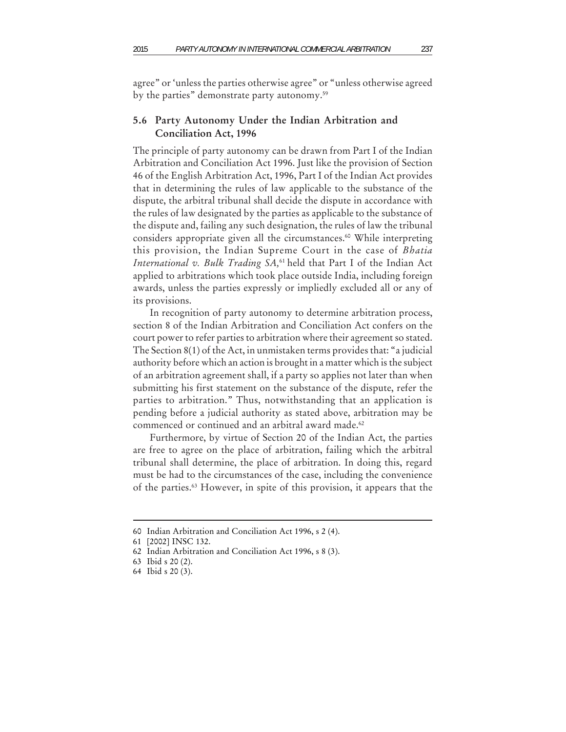agree" or 'unless the parties otherwise agree" or "unless otherwise agreed by the parties" demonstrate party autonomy.<sup>59</sup>

### **5.6 Party Autonomy Under the Indian Arbitration and Conciliation Act, 1996**

The principle of party autonomy can be drawn from Part I of the Indian Arbitration and Conciliation Act 1996. Just like the provision of Section 46 of the English Arbitration Act, 1996, Part I of the Indian Act provides that in determining the rules of law applicable to the substance of the dispute, the arbitral tribunal shall decide the dispute in accordance with the rules of law designated by the parties as applicable to the substance of the dispute and, failing any such designation, the rules of law the tribunal considers appropriate given all the circumstances.<sup>60</sup> While interpreting this provision, the Indian Supreme Court in the case of *Bhatia International v. Bulk Trading SA,*<sup>61</sup> held that Part I of the Indian Act applied to arbitrations which took place outside India, including foreign awards, unless the parties expressly or impliedly excluded all or any of its provisions.

In recognition of party autonomy to determine arbitration process, section 8 of the Indian Arbitration and Conciliation Act confers on the court power to refer parties to arbitration where their agreement so stated. The Section 8(1) of the Act, in unmistaken terms provides that: "a judicial authority before which an action is brought in a matter which is the subject of an arbitration agreement shall, if a party so applies not later than when submitting his first statement on the substance of the dispute, refer the parties to arbitration." Thus, notwithstanding that an application is pending before a judicial authority as stated above, arbitration may be commenced or continued and an arbitral award made.<sup>62</sup>

Furthermore, by virtue of Section 20 of the Indian Act, the parties are free to agree on the place of arbitration, failing which the arbitral tribunal shall determine, the place of arbitration. In doing this, regard must be had to the circumstances of the case, including the convenience of the parties.63 However, in spite of this provision, it appears that the

<sup>60</sup> Indian Arbitration and Conciliation Act 1996, s 2 (4).

<sup>61 [2002]</sup> INSC 132.

<sup>62</sup> Indian Arbitration and Conciliation Act 1996, s 8 (3).

<sup>63</sup> Ibid s 20 (2).

<sup>64</sup> Ibid s 20 (3).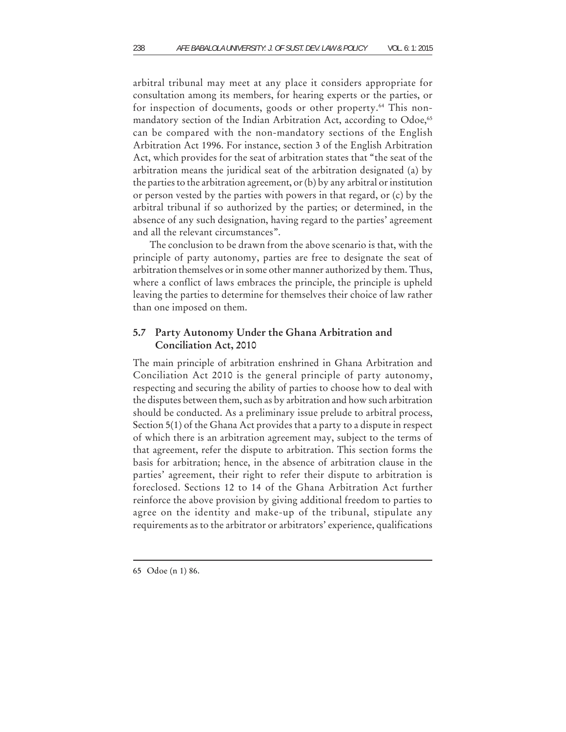arbitral tribunal may meet at any place it considers appropriate for consultation among its members, for hearing experts or the parties, or for inspection of documents, goods or other property.<sup>64</sup> This nonmandatory section of the Indian Arbitration Act, according to Odoe,<sup>65</sup> can be compared with the non-mandatory sections of the English Arbitration Act 1996. For instance, section 3 of the English Arbitration Act, which provides for the seat of arbitration states that "the seat of the arbitration means the juridical seat of the arbitration designated (a) by the parties to the arbitration agreement, or (b) by any arbitral or institution or person vested by the parties with powers in that regard, or (c) by the arbitral tribunal if so authorized by the parties; or determined, in the absence of any such designation, having regard to the parties' agreement and all the relevant circumstances".

The conclusion to be drawn from the above scenario is that, with the principle of party autonomy, parties are free to designate the seat of arbitration themselves or in some other manner authorized by them. Thus, where a conflict of laws embraces the principle, the principle is upheld leaving the parties to determine for themselves their choice of law rather than one imposed on them.

## **5.7 Party Autonomy Under the Ghana Arbitration and Conciliation Act, 2010**

The main principle of arbitration enshrined in Ghana Arbitration and Conciliation Act 2010 is the general principle of party autonomy, respecting and securing the ability of parties to choose how to deal with the disputes between them, such as by arbitration and how such arbitration should be conducted. As a preliminary issue prelude to arbitral process, Section 5(1) of the Ghana Act provides that a party to a dispute in respect of which there is an arbitration agreement may, subject to the terms of that agreement, refer the dispute to arbitration. This section forms the basis for arbitration; hence, in the absence of arbitration clause in the parties' agreement, their right to refer their dispute to arbitration is foreclosed. Sections 12 to 14 of the Ghana Arbitration Act further reinforce the above provision by giving additional freedom to parties to agree on the identity and make-up of the tribunal, stipulate any requirements as to the arbitrator or arbitrators' experience, qualifications

<sup>65</sup> Odoe (n 1) 86.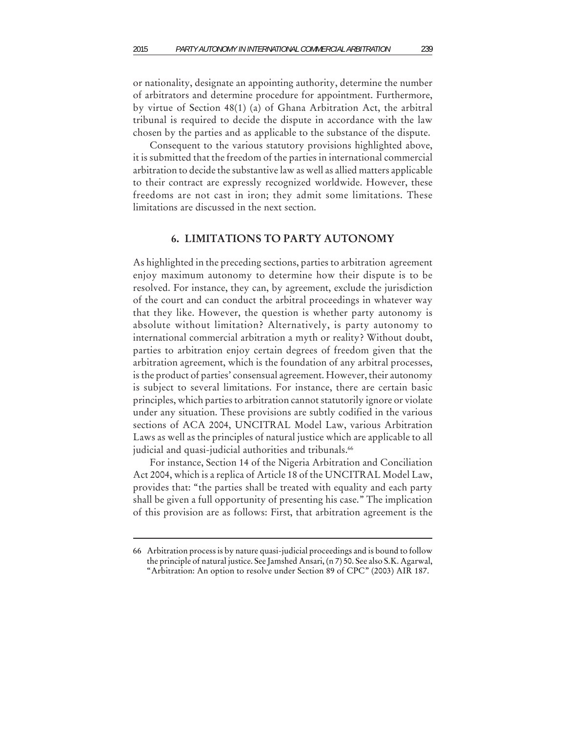or nationality, designate an appointing authority, determine the number of arbitrators and determine procedure for appointment. Furthermore, by virtue of Section 48(1) (a) of Ghana Arbitration Act, the arbitral tribunal is required to decide the dispute in accordance with the law chosen by the parties and as applicable to the substance of the dispute.

Consequent to the various statutory provisions highlighted above, it is submitted that the freedom of the parties in international commercial arbitration to decide the substantive law as well as allied matters applicable to their contract are expressly recognized worldwide. However, these freedoms are not cast in iron; they admit some limitations. These limitations are discussed in the next section.

## **6. LIMITATIONS TO PARTY AUTONOMY**

As highlighted in the preceding sections, parties to arbitration agreement enjoy maximum autonomy to determine how their dispute is to be resolved. For instance, they can, by agreement, exclude the jurisdiction of the court and can conduct the arbitral proceedings in whatever way that they like. However, the question is whether party autonomy is absolute without limitation? Alternatively, is party autonomy to international commercial arbitration a myth or reality? Without doubt, parties to arbitration enjoy certain degrees of freedom given that the arbitration agreement, which is the foundation of any arbitral processes, is the product of parties' consensual agreement. However, their autonomy is subject to several limitations. For instance, there are certain basic principles, which parties to arbitration cannot statutorily ignore or violate under any situation. These provisions are subtly codified in the various sections of ACA 2004, UNCITRAL Model Law, various Arbitration Laws as well as the principles of natural justice which are applicable to all judicial and quasi-judicial authorities and tribunals.<sup>66</sup>

For instance, Section 14 of the Nigeria Arbitration and Conciliation Act 2004, which is a replica of Article 18 of the UNCITRAL Model Law, provides that: "the parties shall be treated with equality and each party shall be given a full opportunity of presenting his case." The implication of this provision are as follows: First, that arbitration agreement is the

<sup>66</sup> Arbitration process is by nature quasi-judicial proceedings and is bound to follow the principle of natural justice. See Jamshed Ansari, (n 7) 50. See also S.K. Agarwal, "Arbitration: An option to resolve under Section 89 of CPC" (2003) AIR 187.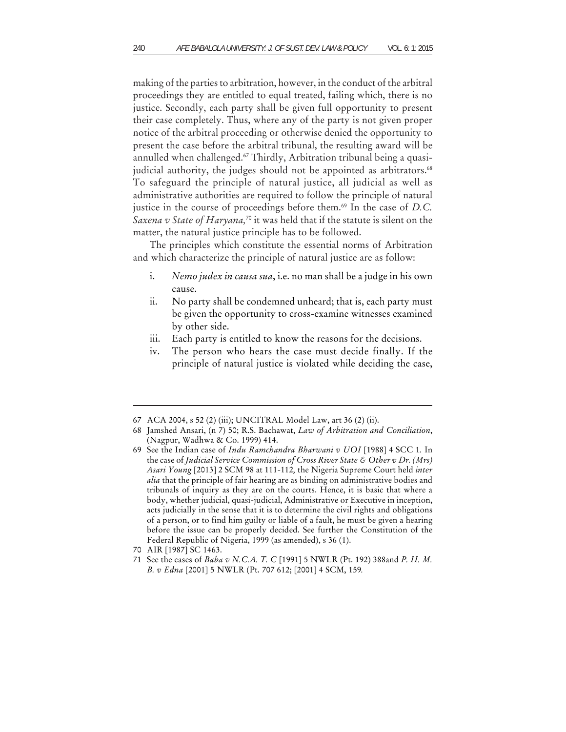making of the parties to arbitration, however, in the conduct of the arbitral proceedings they are entitled to equal treated, failing which, there is no justice. Secondly, each party shall be given full opportunity to present their case completely. Thus, where any of the party is not given proper notice of the arbitral proceeding or otherwise denied the opportunity to present the case before the arbitral tribunal, the resulting award will be annulled when challenged.<sup>67</sup> Thirdly, Arbitration tribunal being a quasijudicial authority, the judges should not be appointed as arbitrators.<sup>68</sup> To safeguard the principle of natural justice, all judicial as well as administrative authorities are required to follow the principle of natural justice in the course of proceedings before them.69 In the case of *D.C. Saxena v State of Haryana*,<sup>70</sup> it was held that if the statute is silent on the matter, the natural justice principle has to be followed.

The principles which constitute the essential norms of Arbitration and which characterize the principle of natural justice are as follow:

- i. *Nemo judex in causa sua*, i.e. no man shall be a judge in his own cause.
- ii. No party shall be condemned unheard; that is, each party must be given the opportunity to cross-examine witnesses examined by other side.
- iii. Each party is entitled to know the reasons for the decisions.
- iv. The person who hears the case must decide finally. If the principle of natural justice is violated while deciding the case,

<sup>67</sup> ACA 2004, s 52 (2) (iii); UNCITRAL Model Law, art 36 (2) (ii).

<sup>68</sup> Jamshed Ansari, (n 7) 50; R.S. Bachawat, *Law of Arbitration and Conciliation*, (Nagpur, Wadhwa & Co. 1999) 414.

<sup>69</sup> See the Indian case of *Indu Ramchandra Bharwani v UOI* [1988] 4 SCC 1*.* In the case of *Judicial Service Commission of Cross River State & Other v Dr. (Mrs) Asari Young* [2013] 2 SCM 98 at 111-112*,* the Nigeria Supreme Court held *inter alia* that the principle of fair hearing are as binding on administrative bodies and tribunals of inquiry as they are on the courts. Hence, it is basic that where a body, whether judicial, quasi-judicial, Administrative or Executive in inception, acts judicially in the sense that it is to determine the civil rights and obligations of a person, or to find him guilty or liable of a fault, he must be given a hearing before the issue can be properly decided. See further the Constitution of the Federal Republic of Nigeria, 1999 (as amended), s 36 (1).

<sup>70</sup> AIR [1987] SC 1463.

<sup>71</sup> See the cases of *Baba v N.C.A. T. C* [1991] 5 NWLR (Pt. 192) 388and *P. H. M. B. v Edna* [2001] 5 NWLR (Pt. 707 612; [2001] 4 SCM, 159*.*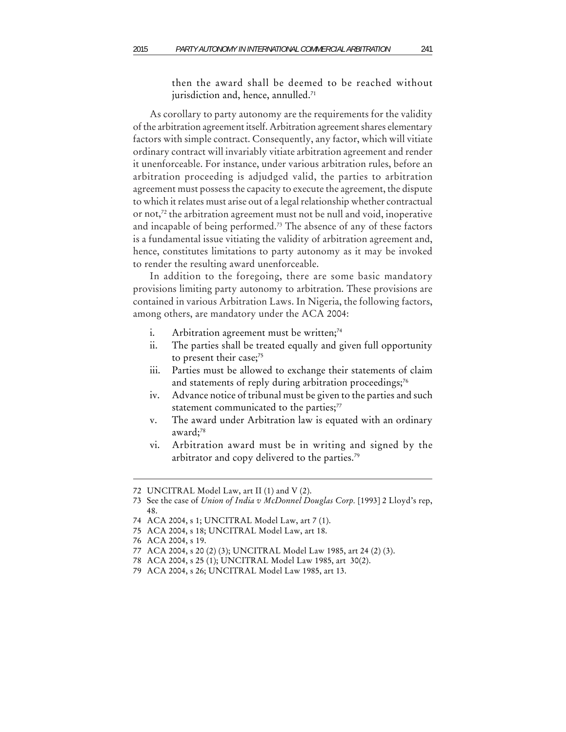then the award shall be deemed to be reached without jurisdiction and, hence, annulled.<sup>71</sup>

As corollary to party autonomy are the requirements for the validity of the arbitration agreement itself. Arbitration agreement shares elementary factors with simple contract. Consequently, any factor, which will vitiate ordinary contract will invariably vitiate arbitration agreement and render it unenforceable. For instance, under various arbitration rules, before an arbitration proceeding is adjudged valid, the parties to arbitration agreement must possess the capacity to execute the agreement, the dispute to which it relates must arise out of a legal relationship whether contractual or not,<sup>72</sup> the arbitration agreement must not be null and void, inoperative and incapable of being performed.73 The absence of any of these factors is a fundamental issue vitiating the validity of arbitration agreement and, hence, constitutes limitations to party autonomy as it may be invoked to render the resulting award unenforceable.

In addition to the foregoing, there are some basic mandatory provisions limiting party autonomy to arbitration. These provisions are contained in various Arbitration Laws. In Nigeria, the following factors, among others, are mandatory under the ACA 2004:

- i. Arbitration agreement must be written; $74$
- ii. The parties shall be treated equally and given full opportunity to present their case;<sup>75</sup>
- iii. Parties must be allowed to exchange their statements of claim and statements of reply during arbitration proceedings;<sup>76</sup>
- iv. Advance notice of tribunal must be given to the parties and such statement communicated to the parties;<sup>77</sup>
- v. The award under Arbitration law is equated with an ordinary award;<sup>78</sup>
- vi. Arbitration award must be in writing and signed by the arbitrator and copy delivered to the parties.79

73 See the case of *Union of India v McDonnel Douglas Corp.* [1993] 2 Lloyd's rep, 48.

76 ACA 2004, s 19.

<sup>72</sup> UNCITRAL Model Law, art II (1) and V (2).

<sup>74</sup> ACA 2004, s 1; UNCITRAL Model Law, art 7 (1).

<sup>75</sup> ACA 2004, s 18; UNCITRAL Model Law, art 18.

<sup>77</sup> ACA 2004, s 20 (2) (3); UNCITRAL Model Law 1985, art 24 (2) (3).

<sup>78</sup> ACA 2004, s 25 (1); UNCITRAL Model Law 1985, art 30(2).

<sup>79</sup> ACA 2004, s 26; UNCITRAL Model Law 1985, art 13.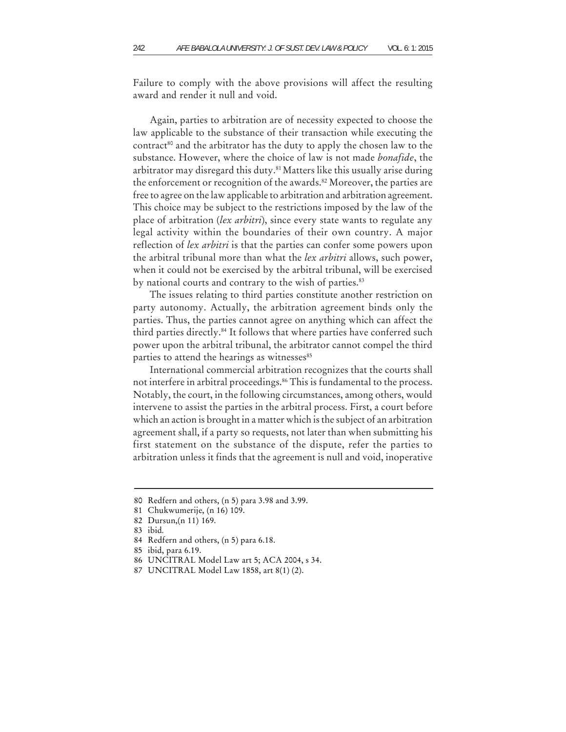Failure to comply with the above provisions will affect the resulting award and render it null and void.

Again, parties to arbitration are of necessity expected to choose the law applicable to the substance of their transaction while executing the contract<sup>80</sup> and the arbitrator has the duty to apply the chosen law to the substance. However, where the choice of law is not made *bonafide*, the arbitrator may disregard this duty.<sup>81</sup> Matters like this usually arise during the enforcement or recognition of the awards.<sup>82</sup> Moreover, the parties are free to agree on the law applicable to arbitration and arbitration agreement. This choice may be subject to the restrictions imposed by the law of the place of arbitration (*lex arbitri*), since every state wants to regulate any legal activity within the boundaries of their own country. A major reflection of *lex arbitri* is that the parties can confer some powers upon the arbitral tribunal more than what the *lex arbitri* allows, such power, when it could not be exercised by the arbitral tribunal, will be exercised by national courts and contrary to the wish of parties.<sup>83</sup>

The issues relating to third parties constitute another restriction on party autonomy. Actually, the arbitration agreement binds only the parties. Thus, the parties cannot agree on anything which can affect the third parties directly.<sup>84</sup> It follows that where parties have conferred such power upon the arbitral tribunal, the arbitrator cannot compel the third parties to attend the hearings as witnesses<sup>85</sup>

International commercial arbitration recognizes that the courts shall not interfere in arbitral proceedings.<sup>86</sup> This is fundamental to the process. Notably, the court, in the following circumstances, among others, would intervene to assist the parties in the arbitral process. First, a court before which an action is brought in a matter which is the subject of an arbitration agreement shall, if a party so requests, not later than when submitting his first statement on the substance of the dispute, refer the parties to arbitration unless it finds that the agreement is null and void, inoperative

<sup>80</sup> Redfern and others, (n 5) para 3.98 and 3.99.

<sup>81</sup> Chukwumerije, (n 16) 109.

<sup>82</sup> Dursun,(n 11) 169.

<sup>83</sup> ibid*.*

<sup>84</sup> Redfern and others, (n 5) para 6.18.

<sup>85</sup> ibid, para 6.19.

<sup>86</sup> UNCITRAL Model Law art 5; ACA 2004, s 34.

<sup>87</sup> UNCITRAL Model Law 1858, art 8(1) (2).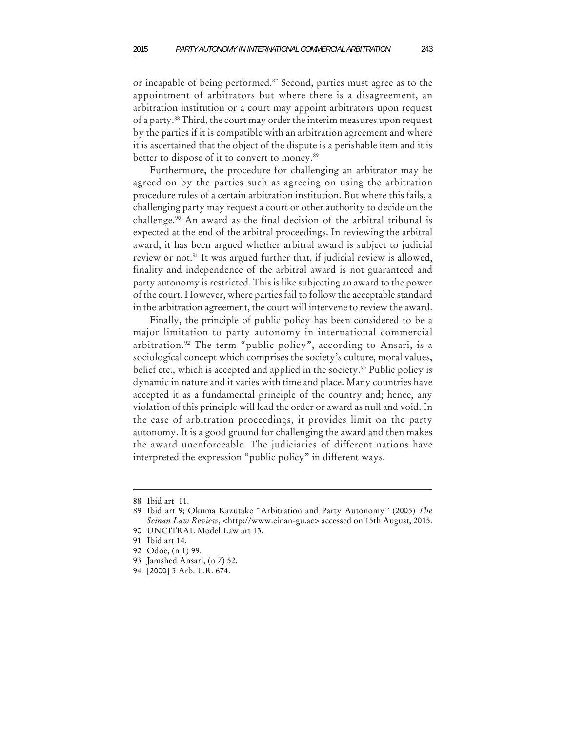or incapable of being performed.<sup>87</sup> Second, parties must agree as to the appointment of arbitrators but where there is a disagreement, an arbitration institution or a court may appoint arbitrators upon request of a party.88 Third, the court may order the interim measures upon request by the parties if it is compatible with an arbitration agreement and where it is ascertained that the object of the dispute is a perishable item and it is better to dispose of it to convert to money.<sup>89</sup>

Furthermore, the procedure for challenging an arbitrator may be agreed on by the parties such as agreeing on using the arbitration procedure rules of a certain arbitration institution. But where this fails, a challenging party may request a court or other authority to decide on the challenge.90 An award as the final decision of the arbitral tribunal is expected at the end of the arbitral proceedings. In reviewing the arbitral award, it has been argued whether arbitral award is subject to judicial review or not.<sup>91</sup> It was argued further that, if judicial review is allowed, finality and independence of the arbitral award is not guaranteed and party autonomy is restricted. This is like subjecting an award to the power of the court. However, where parties fail to follow the acceptable standard in the arbitration agreement, the court will intervene to review the award.

Finally, the principle of public policy has been considered to be a major limitation to party autonomy in international commercial arbitration.<sup>92</sup> The term "public policy", according to Ansari, is a sociological concept which comprises the society's culture, moral values, belief etc., which is accepted and applied in the society.<sup>93</sup> Public policy is dynamic in nature and it varies with time and place. Many countries have accepted it as a fundamental principle of the country and; hence, any violation of this principle will lead the order or award as null and void. In the case of arbitration proceedings, it provides limit on the party autonomy. It is a good ground for challenging the award and then makes the award unenforceable. The judiciaries of different nations have interpreted the expression "public policy" in different ways.

<sup>88</sup> Ibid art 11.

<sup>89</sup> Ibid art 9; Okuma Kazutake "Arbitration and Party Autonomy'' (2005) *The Seinan Law Review*, <http://www.einan-gu.ac> accessed on 15th August, 2015.

<sup>90</sup> UNCITRAL Model Law art 13.

<sup>91</sup> Ibid art 14.

<sup>92</sup> Odoe, (n 1) 99.

<sup>93</sup> Jamshed Ansari, (n 7) 52.

<sup>94 [2000] 3</sup> Arb. L.R. 674.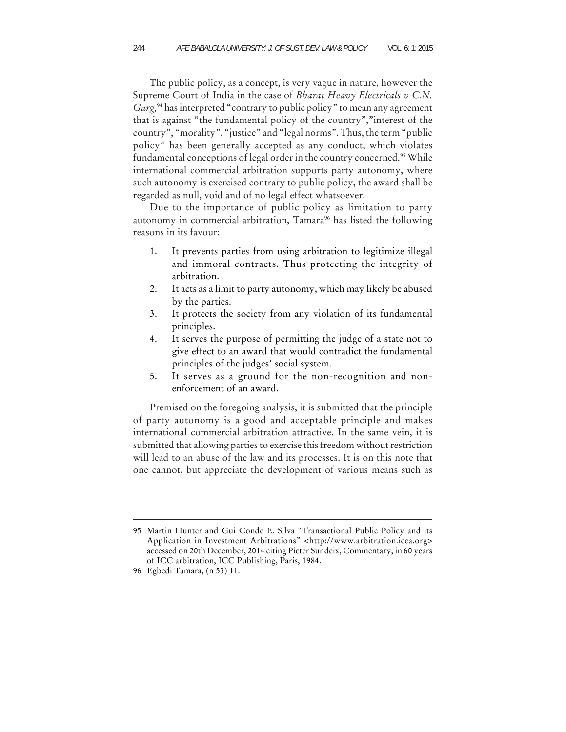The public policy, as a concept, is very vague in nature, however the Supreme Court of India in the case of *Bharat Heavy Electricals v C.N. Garg,*94 has interpreted "contrary to public policy" to mean any agreement that is against "the fundamental policy of the country","interest of the country", "morality", "justice" and "legal norms". Thus, the term "public policy" has been generally accepted as any conduct, which violates fundamental conceptions of legal order in the country concerned.<sup>95</sup> While international commercial arbitration supports party autonomy, where such autonomy is exercised contrary to public policy, the award shall be regarded as null, void and of no legal effect whatsoever.

Due to the importance of public policy as limitation to party autonomy in commercial arbitration, Tamara<sup>96</sup> has listed the following reasons in its favour:

- 1. It prevents parties from using arbitration to legitimize illegal and immoral contracts. Thus protecting the integrity of arbitration.
- 2. It acts as a limit to party autonomy, which may likely be abused by the parties.
- 3. It protects the society from any violation of its fundamental principles.
- 4. It serves the purpose of permitting the judge of a state not to give effect to an award that would contradict the fundamental principles of the judges' social system.
- 5. It serves as a ground for the non-recognition and nonenforcement of an award.

Premised on the foregoing analysis, it is submitted that the principle of party autonomy is a good and acceptable principle and makes international commercial arbitration attractive. In the same vein, it is submitted that allowing parties to exercise this freedom without restriction will lead to an abuse of the law and its processes. It is on this note that one cannot, but appreciate the development of various means such as

<sup>95</sup> Martin Hunter and Gui Conde E. Silva "Transactional Public Policy and its Application in Investment Arbitrations" <http://www.arbitration.icca.org> accessed on 20th December, 2014 citing Picter Sundeix, Commentary, in 60 years of ICC arbitration, ICC Publishing, Paris, 1984.

<sup>96</sup> Egbedi Tamara, (n 53) 11.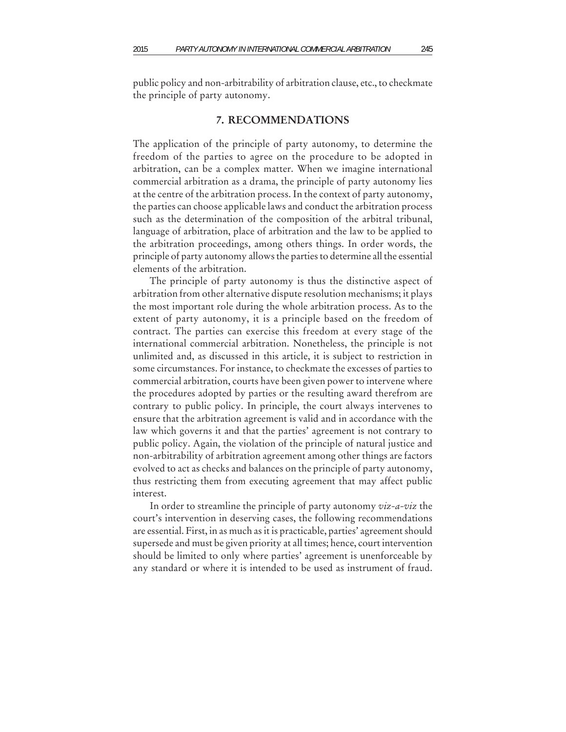public policy and non-arbitrability of arbitration clause, etc., to checkmate the principle of party autonomy.

#### **7. RECOMMENDATIONS**

The application of the principle of party autonomy, to determine the freedom of the parties to agree on the procedure to be adopted in arbitration, can be a complex matter. When we imagine international commercial arbitration as a drama, the principle of party autonomy lies at the centre of the arbitration process. In the context of party autonomy, the parties can choose applicable laws and conduct the arbitration process such as the determination of the composition of the arbitral tribunal, language of arbitration, place of arbitration and the law to be applied to the arbitration proceedings, among others things. In order words, the principle of party autonomy allows the parties to determine all the essential elements of the arbitration.

The principle of party autonomy is thus the distinctive aspect of arbitration from other alternative dispute resolution mechanisms; it plays the most important role during the whole arbitration process. As to the extent of party autonomy, it is a principle based on the freedom of contract. The parties can exercise this freedom at every stage of the international commercial arbitration. Nonetheless, the principle is not unlimited and, as discussed in this article, it is subject to restriction in some circumstances. For instance, to checkmate the excesses of parties to commercial arbitration, courts have been given power to intervene where the procedures adopted by parties or the resulting award therefrom are contrary to public policy. In principle, the court always intervenes to ensure that the arbitration agreement is valid and in accordance with the law which governs it and that the parties' agreement is not contrary to public policy. Again, the violation of the principle of natural justice and non-arbitrability of arbitration agreement among other things are factors evolved to act as checks and balances on the principle of party autonomy, thus restricting them from executing agreement that may affect public interest.

In order to streamline the principle of party autonomy *viz-a-viz* the court's intervention in deserving cases, the following recommendations are essential. First, in as much as it is practicable, parties' agreement should supersede and must be given priority at all times; hence, court intervention should be limited to only where parties' agreement is unenforceable by any standard or where it is intended to be used as instrument of fraud.